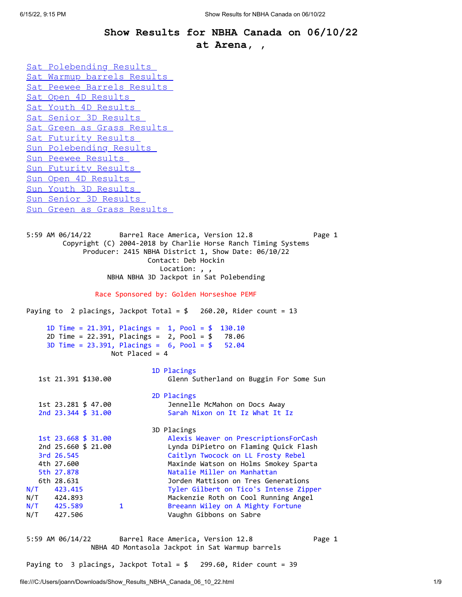## **Show Results for NBHA Canada on 06/10/22 at Arena, ,**

<span id="page-0-0"></span>[Sat Polebending Results](#page-0-0)  [Sat Warmup barrels Results](#page-0-1)  [Sat Peewee Barrels Results](#page-1-0)  [Sat Open 4D Results](#page-1-1)  [Sat Youth 4D Results](#page-3-0)  [Sat Senior 3D Results](#page-3-1)  [Sat Green as Grass Results](#page-4-0)  [Sat Futurity Results](#page-4-1)  [Sun Polebending Results](#page-5-0)  [Sun Peewee Results](#page-5-1)  [Sun Futurity Results](#page-5-2)  [Sun Open 4D Results](#page-5-3)  [Sun Youth 3D Results](#page-7-0)  [Sun Senior 3D Results](#page-7-1)  [Sun Green as Grass Results](#page-7-2) 

5:59 AM 06/14/22 Barrel Race America, Version 12.8 Page 1 Copyright (C) 2004-2018 by Charlie Horse Ranch Timing Systems Producer: 2415 NBHA District 1, Show Date: 06/10/22 Contact: Deb Hockin Location: , , NBHA NBHA 3D Jackpot in Sat Polebending

Race Sponsored by: Golden Horseshoe PEMF

Paying to 2 placings, Jackpot Total = \$ 260.20, Rider count = 13

```
 1D Time = 21.391, Placings = 1, Pool = $ 130.10 
 2D Time = 22.391, Placings = 2, Pool = $ 78.06 
 3D Time = 23.391, Placings = 6, Pool = $ 52.04 
                 Not Placed = 4
```

```
 1D Placings 
   1st 21.391 $130.00 Glenn Sutherland on Buggin For Some Sun 
                         2D Placings 
   1st 23.281 $ 47.00 Jennelle McMahon on Docs Away 
   2nd 23.344 $ 31.00 Sarah Nixon on It Iz What It Iz 
  3D Placings<br>1st 23.668 $ 31.00    Alexis 1
                           Alexis Weaver on PrescriptionsForCash
   2nd 25.660 $ 21.00 Lynda DiPietro on Flaming Quick Flash 
   3rd 26.545 Caitlyn Twocock on LL Frosty Rebel 
   4th 27.600 Maxinde Watson on Holms Smokey Sparta 
   5th 27.878 Natalie Miller on Manhattan 
   6th 28.631 Jorden Mattison on Tres Generations 
N/T 423.415 Tyler Gilbert on Tico's Intense Zipper 
N/T 424.893 Mackenzie Roth on Cool Running Angel 
N/T 425.589 1 Breeann Wiley on A Mighty Fortune
```
<span id="page-0-1"></span>5:59 AM 06/14/22 Barrel Race America, Version 12.8 Page 1 NBHA 4D Montasola Jackpot in Sat Warmup barrels

Paying to 3 placings, Jackpot Total =  $$ 299.60$ , Rider count = 39

N/T 427.506 Vaughn Gibbons on Sabre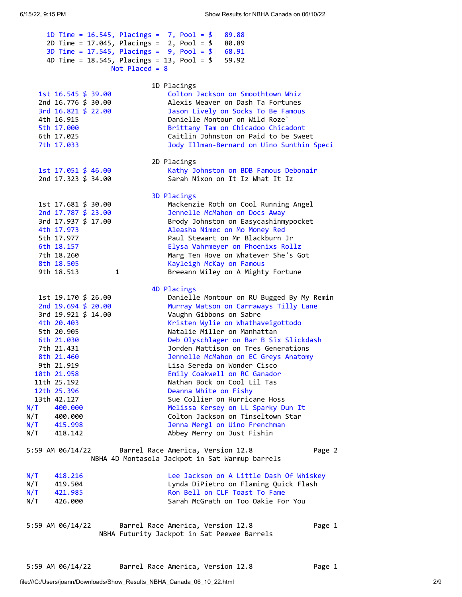<span id="page-1-1"></span><span id="page-1-0"></span>

| 1D Time = $16.545$ , Placings = 7, Pool = \$<br>2D Time = $17.045$ , Placings = $2$ , Pool = \$<br>3D Time = $17.545$ , Placings = $9$ , Pool = \$<br>4D Time = $18.545$ , Placings = $13$ , Pool = \$<br>Not Placed = $8$                               | 89.88<br>80.89<br>68.91<br>59.92                                                                                                                                                                                                                                                                                                                                                                                                                                                                                                                                      |
|----------------------------------------------------------------------------------------------------------------------------------------------------------------------------------------------------------------------------------------------------------|-----------------------------------------------------------------------------------------------------------------------------------------------------------------------------------------------------------------------------------------------------------------------------------------------------------------------------------------------------------------------------------------------------------------------------------------------------------------------------------------------------------------------------------------------------------------------|
| 1st 16.545 \$ 39.00<br>2nd 16.776 \$ 30.00<br>3rd 16.821 \$ 22.00<br>4th 16.915<br>5th 17.000<br>6th 17.025<br>7th 17.033                                                                                                                                | 1D Placings<br>Colton Jackson on Smoothtown Whiz<br>Alexis Weaver on Dash Ta Fortunes<br>Jason Lively on Socks To Be Famous<br>Danielle Montour on Wild Roze`<br>Brittany Tam on Chicadoo Chicadont<br>Caitlin Johnston on Paid to be Sweet<br>Jody Illman-Bernard on Uino Sunthin Speci                                                                                                                                                                                                                                                                              |
| 1st 17.051 \$ 46.00<br>2nd 17.323 \$ 34.00                                                                                                                                                                                                               | 2D Placings<br>Kathy Johnston on BDB Famous Debonair<br>Sarah Nixon on It Iz What It Iz                                                                                                                                                                                                                                                                                                                                                                                                                                                                               |
| 1st 17.681 \$ 30.00<br>2nd 17.787 \$ 23.00<br>3rd 17.937 \$ 17.00<br>4th 17.973<br>5th 17.977<br>6th 18.157<br>7th 18.260<br>8th 18.505<br>$\mathbf{1}$<br>9th 18.513                                                                                    | 3D Placings<br>Mackenzie Roth on Cool Running Angel<br>Jennelle McMahon on Docs Away<br>Brody Johnston on Easycashinmypocket<br>Aleasha Nimec on Mo Money Red<br>Paul Stewart on Mr Blackburn Jr<br>Elysa Vahrmeyer on Phoenixs Rollz<br>Marg Ten Hove on Whatever She's Got<br>Kayleigh McKay on Famous<br>Breeann Wiley on A Mighty Fortune                                                                                                                                                                                                                         |
| 1st 19.170 \$ 26.00<br>2nd 19.694 \$ 20.00                                                                                                                                                                                                               | 4D Placings<br>Danielle Montour on RU Bugged By My Remin<br>Murray Watson on Carraways Tilly Lane                                                                                                                                                                                                                                                                                                                                                                                                                                                                     |
| 3rd 19.921 \$ 14.00<br>4th 20.403<br>5th 20.905<br>6th 21.030<br>7th 21.431<br>8th 21.460<br>9th 21.919<br>10th 21.958<br>11th 25.192<br>12th 25.396<br>13th 42.127<br>N/T<br>400.000<br>N/T 400.000<br>N/T 415.998<br>$N/T$ 418.142<br>5:59 AM 06/14/22 | Vaughn Gibbons on Sabre<br>Kristen Wylie on Whathaveigottodo<br>Natalie Miller on Manhattan<br>Deb Olyschlager on Bar B Six Slickdash<br>Jorden Mattison on Tres Generations<br>Jennelle McMahon on EC Greys Anatomy<br>Lisa Sereda on Wonder Cisco<br>Emily Coakwell on RC Ganador<br>Nathan Bock on Cool Lil Tas<br>Deanna White on Fishy<br>Sue Collier on Hurricane Hoss<br>Melissa Kersey on LL Sparky Dun It<br>Colton Jackson on Tinseltown Star<br>Jenna Mergl on Uino Frenchman<br>Abbey Merry on Just Fishin<br>Barrel Race America, Version 12.8<br>Page 2 |
| NBHA 4D Montasola Jackpot in Sat Warmup barrels                                                                                                                                                                                                          |                                                                                                                                                                                                                                                                                                                                                                                                                                                                                                                                                                       |
| N/T<br>418.216<br>N/T<br>419.504<br>N/T<br>421.985<br>426.000<br>N/T                                                                                                                                                                                     | Lee Jackson on A Little Dash Of Whiskey<br>Lynda DiPietro on Flaming Quick Flash<br>Ron Bell on CLF Toast To Fame<br>Sarah McGrath on Too Oakie For You                                                                                                                                                                                                                                                                                                                                                                                                               |
| 5:59 AM 06/14/22<br>Barrel Race America, Version 12.8<br>Page 1<br>NBHA Futurity Jackpot in Sat Peewee Barrels                                                                                                                                           |                                                                                                                                                                                                                                                                                                                                                                                                                                                                                                                                                                       |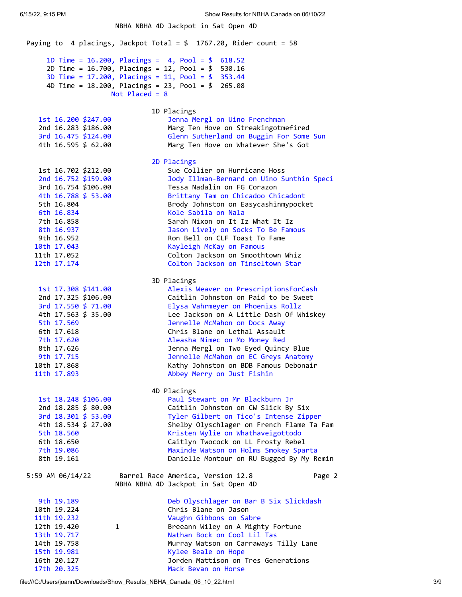NBHA NBHA 4D Jackpot in Sat Open 4D Paying to 4 placings, Jackpot Total =  $$$  1767.20, Rider count = 58 1D Time = 16.200, Placings = 4, Pool = \$ 618.52 2D Time = 16.700, Placings = 12, Pool = \$ 530.16 3D Time = 17.200, Placings = 11, Pool = \$ 353.44 4D Time = 18.200, Placings = 23, Pool = \$ 265.08 Not Placed = 8 1D Placings 1st 16.200 \$247.00 Jenna Mergl on Uino Frenchman 2nd 16.283 \$186.00 Marg Ten Hove on Streakingotmefired 3rd 16.475 \$124.00 Glenn Sutherland on Buggin For Some Sun 4th 16.595 \$ 62.00 Marg Ten Hove on Whatever She's Got 2D Placings 1st 16.702 \$212.00 Sue Collier on Hurricane Hoss 2nd 16.752 \$159.00 Jody Illman-Bernard on Uino Sunthin Speci 3rd 16.754 \$106.00 Tessa Nadalin on FG Corazon 4th 16.788 \$ 53.00 Brittany Tam on Chicadoo Chicadont 5th 16.804 Brody Johnston on Easycashinmypocket 6th 16.834 Kole Sabila on Nala 7th 16.858 Sarah Nixon on It Iz What It Iz 8th 16.937 Jason Lively on Socks To Be Famous 9th 16.952 Ron Bell on CLF Toast To Fame 10th 17.043 Kayleigh McKay on Famous 11th 17.052 Colton Jackson on Smoothtown Whiz 12th 17.174 Colton Jackson on Tinseltown Star 3D Placings 1st 17.308 \$141.00 Alexis Weaver on PrescriptionsForCash 2nd 17.325 \$106.00 Caitlin Johnston on Paid to be Sweet 3rd 17.550 \$ 71.00 Elysa Vahrmeyer on Phoenixs Rollz 4th 17.563 \$ 35.00 Lee Jackson on A Little Dash Of Whiskey 5th 17.569 Jennelle McMahon on Docs Away 6th 17.618 Chris Blane on Lethal Assault 7th 17.620 Aleasha Nimec on Mo Money Red 8th 17.626 Jenna Mergl on Two Eyed Quincy Blue 9th 17.715 Jennelle McMahon on EC Greys Anatomy 10th 17.868 Kathy Johnston on BDB Famous Debonair 11th 17.893 Abbey Merry on Just Fishin 4D Placings 1st 18.248 \$106.00 Paul Stewart on Mr Blackburn Jr 2nd 18.285 \$ 80.00 Caitlin Johnston on CW Slick By Six 3rd 18.301 \$ 53.00 Tyler Gilbert on Tico's Intense Zipper 4th 18.534 \$ 27.00 Shelby Olyschlager on French Flame Ta Fam 5th 18.560 Kristen Wylie on Whathaveigottodo 6th 18.650 Caitlyn Twocock on LL Frosty Rebel 7th 19.086 Maxinde Watson on Holms Smokey Sparta 8th 19.161 Danielle Montour on RU Bugged By My Remin 5:59 AM 06/14/22 Barrel Race America, Version 12.8 Page 2 NBHA NBHA 4D Jackpot in Sat Open 4D 9th 19.189 Deb Olyschlager on Bar B Six Slickdash 10th 19.224 Chris Blane on Jason 11th 19.232 Vaughn Gibbons on Sabre 12th 19.420 1 Breeann Wiley on A Mighty Fortune 13th 19.717 Nathan Bock on Cool Lil Tas 14th 19.758 Murray Watson on Carraways Tilly Lane 15th 19.981 Kylee Beale on Hope 16th 20.127 Jorden Mattison on Tres Generations

17th 20.325 Mack Bevan on Horse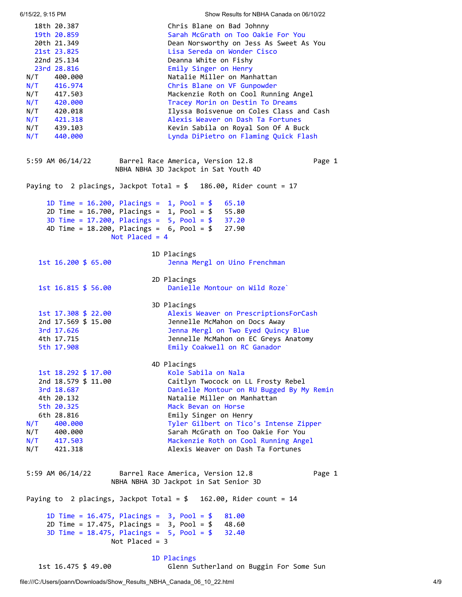<span id="page-3-1"></span><span id="page-3-0"></span>6/15/22, 9:15 PM Show Results for NBHA Canada on 06/10/22 18th 20.387 Chris Blane on Bad Johnny 19th 20.859 Sarah McGrath on Too Oakie For You 20th 21.349 Dean Norsworthy on Jess As Sweet As You 21st 23.825 Lisa Sereda on Wonder Cisco 22nd 25.134 Deanna White on Fishy 23rd 28.816 Emily Singer on Henry N/T 400.000 Natalie Miller on Manhattan N/T 416.974 Chris Blane on VF Gunpowder N/T 417.503 Mackenzie Roth on Cool Running Angel N/T 420.000 Tracey Morin on Destin To Dreams N/T 420.018 Ilyssa Boisvenue on Coles Class and Cash N/T 421.318 Alexis Weaver on Dash Ta Fortunes N/T 439.103 Kevin Sabila on Royal Son Of A Buck N/T 440.000 Lynda DiPietro on Flaming Quick Flash 5:59 AM 06/14/22 Barrel Race America, Version 12.8 Page 1 NBHA NBHA 3D Jackpot in Sat Youth 4D Paying to 2 placings, Jackpot Total = \$ 186.00, Rider count = 17 1D Time = 16.200, Placings = 1, Pool = \$ 65.10 2D Time = 16.700, Placings = 1, Pool = \$ 55.80 3D Time = 17.200, Placings = 5, Pool = \$ 37.20 4D Time = 18.200, Placings = 6, Pool = \$ 27.90 Not Placed = 4 1D Placings 1st 16.200 \$ 65.00 Jenna Mergl on Uino Frenchman 2D Placings 1st 16.815 \$ 56.00 Danielle Montour on Wild Roze` 3D Placings 1st 17.308 \$ 22.00 Alexis Weaver on PrescriptionsForCash<br>2nd 17.569 \$ 15.00 2nnelle McMahon on Docs Away Jennelle McMahon on Docs Away 3rd 17.626 Jenna Mergl on Two Eyed Quincy Blue 1.020<br>4th 17.715 Jennelle McMahon on EC Greys Anatomy 5th 17.908 Emily Coakwell on RC Ganador 4D Placings 1st 18.292 \$ 17.00 Kole Sabila on Nala 2nd 18.579 \$ 11.00 Caitlyn Twocock on LL Frosty Rebel 3rd 18.687 Danielle Montour on RU Bugged By My Remin 4th 20.132 Natalie Miller on Manhattan 5th 20.325 Mack Bevan on Horse 6th 28.816 Emily Singer on Henry N/T 400.000 Tyler Gilbert on Tico's Intense Zipper N/T 400.000 Sarah McGrath on Too Oakie For You N/T 417.503 Mackenzie Roth on Cool Running Angel N/T 421.318 Alexis Weaver on Dash Ta Fortunes 5:59 AM 06/14/22 Barrel Race America, Version 12.8 Page 1 NBHA NBHA 3D Jackpot in Sat Senior 3D Paying to 2 placings, Jackpot Total =  $$ 162.00$ , Rider count = 14 1D Time = 16.475, Placings = 3, Pool = \$ 81.00 2D Time = 17.475, Placings = 3, Pool = \$ 48.60 3D Time = 18.475, Placings = 5, Pool = \$ 32.40 Not Placed = 3 1D Placings 1st 16.475 \$ 49.00 Glenn Sutherland on Buggin For Some Sun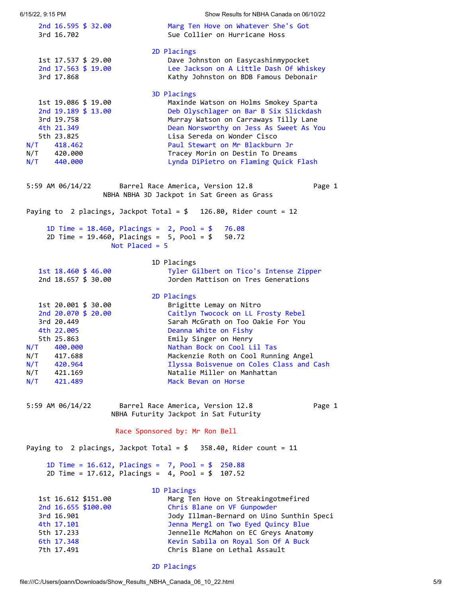<span id="page-4-0"></span>6/15/22, 9:15 PM Show Results for NBHA Canada on 06/10/22 2nd 16.595 \$ 32.00 Marg Ten Hove on Whatever She's Got 3rd 16.702 Sue Collier on Hurricane Hoss 2D Placings 1st 17.537 \$ 29.00 Dave Johnston on Easycashinmypocket 2nd 17.563 \$ 19.00 Lee Jackson on A Little Dash Of Whiskey 3rd 17.868 Kathy Johnston on BDB Famous Debonair 3D Placings 1st 19.086 \$ 19.00 Maxinde Watson on Holms Smokey Sparta 2nd 19.189 \$ 13.00 Deb Olyschlager on Bar B Six Slickdash 3rd 19.758 Murray Watson on Carraways Tilly Lane 4th 21.349 Dean Norsworthy on Jess As Sweet As You 5th 23.825 Lisa Sereda on Wonder Cisco N/T 418.462 Paul Stewart on Mr Blackburn Jr N/T 420.000 Tracey Morin on Destin To Dreams N/T 440.000 Lynda DiPietro on Flaming Quick Flash 5:59 AM 06/14/22 Barrel Race America, Version 12.8 Page 1 NBHA NBHA 3D Jackpot in Sat Green as Grass Paying to 2 placings, Jackpot Total =  $$$  126.80, Rider count = 12 1D Time = 18.460, Placings = 2, Pool = \$ 76.08 2D Time = 19.460, Placings = 5, Pool = \$ 50.72 Not Placed = 5 1D Placings 1st 18.460 \$ 46.00 Tyler Gilbert on Tico's Intense Zipper 2nd 18.657 \$ 30.00 Jorden Mattison on Tres Generations 2D Placings 1st 20.001 \$ 30.00 Brigitte Lemay on Nitro 2nd 20.070 \$ 20.00 Caitlyn Twocock on LL Frosty Rebel 3rd 20.449 Sarah McGrath on Too Oakie For You 4th 22.005 Deanna White on Fishy 5th 25.863 Emily Singer on Henry N/T 400.000 Nathan Bock on Cool Lil Tas N/T 417.688 Mackenzie Roth on Cool Running Angel N/T 420.964 Ilyssa Boisvenue on Coles Class and Cash N/T 421.169 Natalie Miller on Manhattan N/T 421.489 Mack Bevan on Horse 5:59 AM 06/14/22 Barrel Race America, Version 12.8 Page 1 NBHA Futurity Jackpot in Sat Futurity Race Sponsored by: Mr Ron Bell Paying to 2 placings, Jackpot Total =  $$358.40$ , Rider count = 11 1D Time = 16.612, Placings = 7, Pool = \$ 250.88 2D Time = 17.612, Placings = 4, Pool = \$ 107.52 1D Placings 1st 16.612 \$151.00 Marg Ten Hove on Streakingotmefired 2nd 16.655 \$100.00 Chris Blane on VF Gunpowder 3rd 16.901 Jody Illman-Bernard on Uino Sunthin Speci 4th 17.101 Jenna Mergl on Two Eyed Quincy Blue 5th 17.233 Jennelle McMahon on EC Greys Anatomy 6th 17.348 Kevin Sabila on Royal Son Of A Buck 7th 17.491 Chris Blane on Lethal Assault

<span id="page-4-1"></span>2D Placings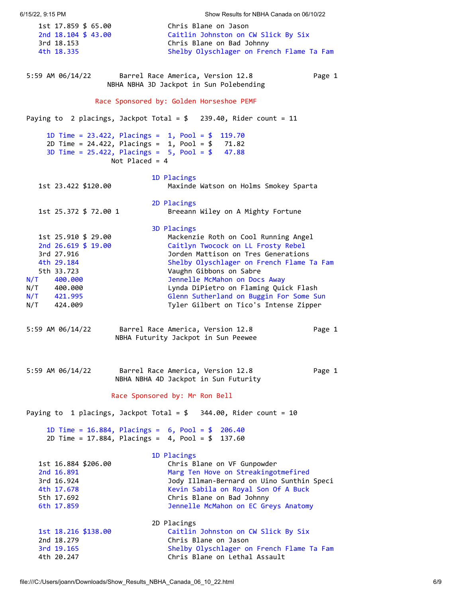<span id="page-5-3"></span><span id="page-5-2"></span><span id="page-5-1"></span><span id="page-5-0"></span>6/15/22, 9:15 PM Show Results for NBHA Canada on 06/10/22 1st 17.859 \$ 65.00 Chris Blane on Jason 2nd 18.104 \$ 43.00 Caitlin Johnston on CW Slick By Six 3rd 18.153 Chris Blane on Bad Johnny 4th 18.335 Shelby Olyschlager on French Flame Ta Fam 5:59 AM 06/14/22 Barrel Race America, Version 12.8 Page 1 NBHA NBHA 3D Jackpot in Sun Polebending Race Sponsored by: Golden Horseshoe PEMF Paying to 2 placings, Jackpot Total =  $$$  239.40, Rider count = 11 1D Time = 23.422, Placings = 1, Pool = \$ 119.70 2D Time = 24.422, Placings = 1, Pool = \$ 71.82 3D Time = 25.422, Placings = 5, Pool = \$ 47.88 Not Placed = 4 1D Placings 1st 23.422 \$120.00 Maxinde Watson on Holms Smokey Sparta 2D Placings 1st 25.372 \$ 72.00 1 Breeann Wiley on A Mighty Fortune 3D Placings 1st 25.910 \$ 29.00 Mackenzie Roth on Cool Running Angel 2nd 26.619 \$ 19.00 Caitlyn Twocock on LL Frosty Rebel 3rd 27.916 Jorden Mattison on Tres Generations 4th 29.184 Shelby Olyschlager on French Flame Ta Fam 5th 33.723 Vaughn Gibbons on Sabre N/T 400.000 Jennelle McMahon on Docs Away N/T 400.000 Lynda DiPietro on Flaming Quick Flash N/T 421.995 Glenn Sutherland on Buggin For Some Sun N/T 424.009 Tyler Gilbert on Tico's Intense Zipper 5:59 AM 06/14/22 Barrel Race America, Version 12.8 Page 1 NBHA Futurity Jackpot in Sun Peewee 5:59 AM 06/14/22 Barrel Race America, Version 12.8 Page 1 NBHA NBHA 4D Jackpot in Sun Futurity Race Sponsored by: Mr Ron Bell Paying to 1 placings, Jackpot Total = \$ 344.00, Rider count = 10 1D Time = 16.884, Placings = 6, Pool = \$ 206.40 2D Time = 17.884, Placings = 4, Pool = \$ 137.60 1D Placings 1st 16.884 \$206.00 Chris Blane on VF Gunpowder 2nd 16.891 Marg Ten Hove on Streakingotmefired 3rd 16.924 Jody Illman-Bernard on Uino Sunthin Speci 4th 17.678 Kevin Sabila on Royal Son Of A Buck 5th 17.692 Chris Blane on Bad Johnny 6th 17.859 Jennelle McMahon on EC Greys Anatomy 2D Placings 1st 18.216 \$138.00 Caitlin Johnston on CW Slick By Six 2nd 18.279 Chris Blane on Jason 3rd 19.165 Shelby Olyschlager on French Flame Ta Fam 4th 20.247 Chris Blane on Lethal Assault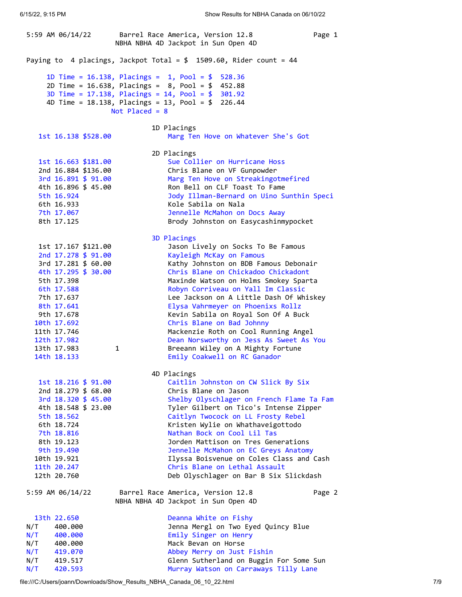5:59 AM 06/14/22 Barrel Race America, Version 12.8 Page 1 NBHA NBHA 4D Jackpot in Sun Open 4D Paying to 4 placings, Jackpot Total =  $$$  1509.60, Rider count = 44 1D Time = 16.138, Placings = 1, Pool = \$ 528.36 2D Time = 16.638, Placings = 8, Pool = \$ 452.88 3D Time = 17.138, Placings = 14, Pool = \$ 301.92 4D Time = 18.138, Placings = 13, Pool = \$ 226.44 Not Placed = 8 1D Placings 1st 16.138 \$528.00 Marg Ten Hove on Whatever She's Got 2D Placings 1st 16.663 \$181.00 Sue Collier on Hurricane Hoss 2nd 16.884 \$136.00 Chris Blane on VF Gunpowder 3rd 16.891 \$ 91.00 Marg Ten Hove on Streakingotmefired 4th 16.896 \$ 45.00 Ron Bell on CLF Toast To Fame 5th 16.924 Jody Illman-Bernard on Uino Sunthin Speci 6th 16.933 Kole Sabila on Nala 7th 17.067 Jennelle McMahon on Docs Away 8th 17.125 Brody Johnston on Easycashinmypocket 3D Placings 1st 17.167 \$121.00 Jason Lively on Socks To Be Famous 2nd 17.278 \$ 91.00 Kayleigh McKay on Famous 3rd 17.281 \$ 60.00 Kathy Johnston on BDB Famous Debonair 4th 17.295 \$ 30.00 Chris Blane on Chickadoo Chickadont 5th 17.398 Maxinde Watson on Holms Smokey Sparta 6th 17.588 Robyn Corriveau on Yall Im Classic 7th 17.637 Lee Jackson on A Little Dash Of Whiskey 8th 17.641 Elysa Vahrmeyer on Phoenixs Rollz 9th 17.678 Kevin Sabila on Royal Son Of A Buck 10th 17.692 Chris Blane on Bad Johnny 11th 17.746 Mackenzie Roth on Cool Running Angel 12th 17.982 Dean Norsworthy on Jess As Sweet As You 13th 17.983 1 1 Breeann Wiley on A Mighty Fortune 14th 18.133 Emily Coakwell on RC Ganador 4D Placings 1st 18.216 \$ 91.00 Caitlin Johnston on CW Slick By Six 2nd 18.279 \$ 68.00 Chris Blane on Jason 3rd 18.320 \$ 45.00 Shelby Olyschlager on French Flame Ta Fam 4th 18.548 \$ 23.00 Tyler Gilbert on Tico's Intense Zipper 5th 18.562 Caitlyn Twocock on LL Frosty Rebel 6th 18.724 Kristen Wylie on Whathaveigottodo 7th 18.816 Nathan Bock on Cool Lil Tas 8th 19.123 Jorden Mattison on Tres Generations 9th 19.490 Jennelle McMahon on EC Greys Anatomy 10th 19.921 Ilyssa Boisvenue on Coles Class and Cash 11th 20.247 Chris Blane on Lethal Assault 12th 20.760 Deb Olyschlager on Bar B Six Slickdash 5:59 AM 06/14/22 Barrel Race America, Version 12.8 Page 2 NBHA NBHA 4D Jackpot in Sun Open 4D 13th 22.650 Deanna White on Fishy N/T 400.000 Jenna Mergl on Two Eyed Quincy Blue N/T 400.000 Emily Singer on Henry N/T 400.000 Mack Bevan on Horse N/T 419.070 Abbey Merry on Just Fishin N/T 419.517 Glenn Sutherland on Buggin For Some Sun N/T 420.593 Murray Watson on Carraways Tilly Lane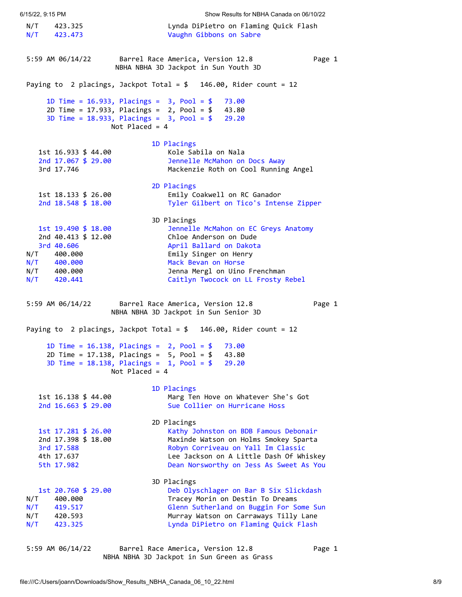<span id="page-7-0"></span>6/15/22, 9:15 PM Show Results for NBHA Canada on 06/10/22 N/T 423.325 Lynda DiPietro on Flaming Quick Flash N/T 423.473 Vaughn Gibbons on Sabre 5:59 AM 06/14/22 Barrel Race America, Version 12.8 Page 1 NBHA NBHA 3D Jackpot in Sun Youth 3D Paying to 2 placings, Jackpot Total = \$ 146.00, Rider count = 12 1D Time = 16.933, Placings = 3, Pool = \$ 73.00 2D Time = 17.933, Placings = 2, Pool = \$ 43.80 3D Time = 18.933, Placings = 3, Pool = \$ 29.20 Not Placed = 4 1D Placings 1st 16.933 \$ 44.00 Kole Sabila on Nala 2nd 17.067 \$ 29.00 Jennelle McMahon on Docs Away 3rd 17.746 Mackenzie Roth on Cool Running Angel 2D Placings 1st 18.133 \$ 26.00 Emily Coakwell on RC Ganador Tyler Gilbert on Tico's Intense Zipper 3D Placings 1st 19.490 \$ 18.00 Jennelle McMahon on EC Greys Anatomy 2nd 40.413 \$ 12.00 Chloe Anderson on Dude 3rd 40.606 April Ballard on Dakota N/T 400.000 Emily Singer on Henry N/T 400.000 Mack Bevan on Horse N/T 400.000 Jenna Mergl on Uino Frenchman N/T 420.441 Caitlyn Twocock on LL Frosty Rebel 5:59 AM 06/14/22 Barrel Race America, Version 12.8 Page 1 NBHA NBHA 3D Jackpot in Sun Senior 3D Paying to 2 placings, Jackpot Total = \$ 146.00, Rider count = 12 1D Time = 16.138, Placings = 2, Pool = \$ 73.00 2D Time = 17.138, Placings = 5, Pool = \$ 43.80 3D Time = 18.138, Placings = 1, Pool = \$ 29.20 Not Placed = 4 1D Placings 1st 16.138 \$ 44.00 Marg Ten Hove on Whatever She's Got 2nd 16.663 \$ 29.00 Sue Collier on Hurricane Hoss 2D Placings 1st 17.281 \$ 26.00 Kathy Johnston on BDB Famous Debonair 2nd 17.398 \$ 18.00 Maxinde Watson on Holms Smokey Sparta 3rd 17.588 Robyn Corriveau on Yall Im Classic 4th 17.637 Lee Jackson on A Little Dash Of Whiskey 5th 17.982 Dean Norsworthy on Jess As Sweet As You 3D Placings 1st 20.760 \$ 29.00 Deb Olyschlager on Bar B Six Slickdash N/T 400.000 Tracey Morin on Destin To Dreams N/T 419.517 Glenn Sutherland on Buggin For Some Sun N/T 420.593 Murray Watson on Carraways Tilly Lane N/T 423.325 Lynda DiPietro on Flaming Quick Flash 5:59 AM 06/14/22 Barrel Race America, Version 12.8 Page 1

<span id="page-7-2"></span><span id="page-7-1"></span>NBHA NBHA 3D Jackpot in Sun Green as Grass